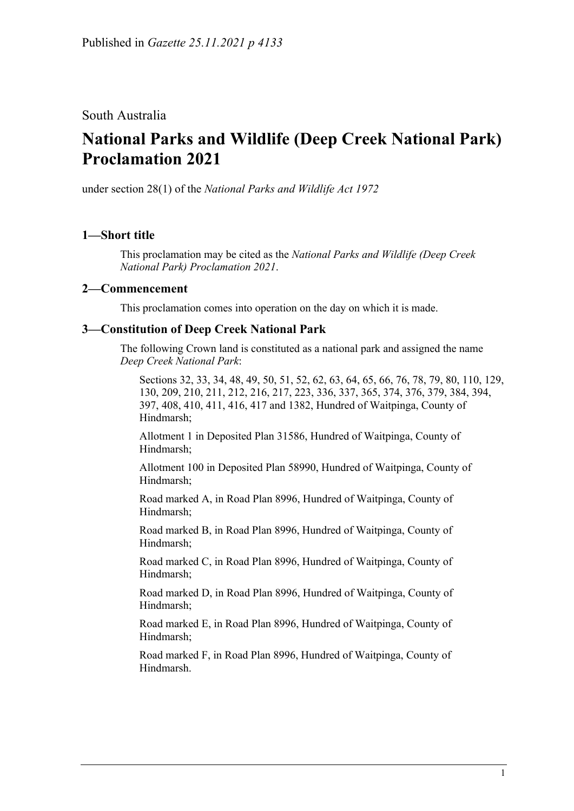## South Australia

# **National Parks and Wildlife (Deep Creek National Park) Proclamation 2021**

under section 28(1) of the *National Parks and Wildlife Act 1972*

## **1—Short title**

This proclamation may be cited as the *National Parks and Wildlife (Deep Creek National Park) Proclamation 2021*.

#### **2—Commencement**

This proclamation comes into operation on the day on which it is made.

### **3—Constitution of Deep Creek National Park**

The following Crown land is constituted as a national park and assigned the name *Deep Creek National Park*:

Sections 32, 33, 34, 48, 49, 50, 51, 52, 62, 63, 64, 65, 66, 76, 78, 79, 80, 110, 129, 130, 209, 210, 211, 212, 216, 217, 223, 336, 337, 365, 374, 376, 379, 384, 394, 397, 408, 410, 411, 416, 417 and 1382, Hundred of Waitpinga, County of Hindmarsh;

Allotment 1 in Deposited Plan 31586, Hundred of Waitpinga, County of Hindmarsh;

Allotment 100 in Deposited Plan 58990, Hundred of Waitpinga, County of Hindmarsh;

Road marked A, in Road Plan 8996, Hundred of Waitpinga, County of Hindmarsh;

Road marked B, in Road Plan 8996, Hundred of Waitpinga, County of Hindmarsh;

Road marked C, in Road Plan 8996, Hundred of Waitpinga, County of Hindmarsh;

Road marked D, in Road Plan 8996, Hundred of Waitpinga, County of Hindmarsh;

Road marked E, in Road Plan 8996, Hundred of Waitpinga, County of Hindmarsh;

Road marked F, in Road Plan 8996, Hundred of Waitpinga, County of Hindmarsh.